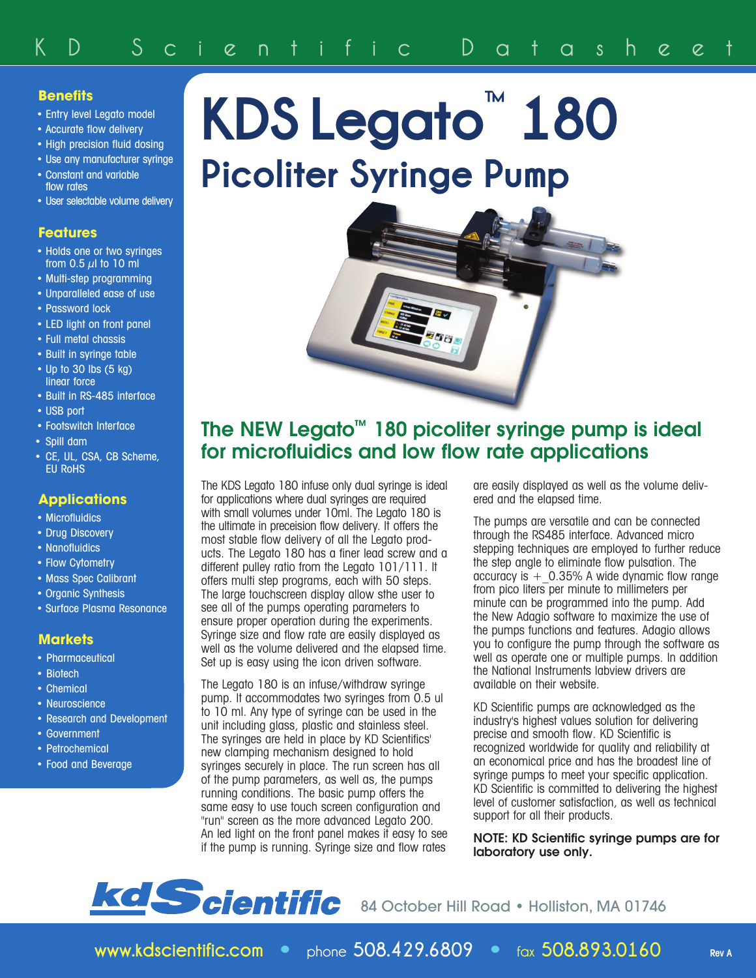## **Benefits**

- Entry level Legato model
- Accurate flow delivery
- High precision fluid dosing
- Use any manufacturer syringe • Constant and variable flow rates
- User selectable volume delivery

#### **Features**

- Holds one or two syringes from  $0.5 \mu$  to 10 ml
- Multi-step programming
- Unparalleled ease of use
- Password lock
- LED light on front panel
- Full metal chassis
- Built in syringe table • Up to 30 lbs (5 kg)
- linear force
- Built in RS-485 interface
- USB port
- Footswitch Interface
- Spill dam
- CE, UL, CSA, CB Scheme, EU RoHS

### **Applications**

- Microfluidics
- Drug Discovery
- Nanofluidics
- Flow Cytometry
- Mass Spec Calibrant
- Organic Synthesis
- Surface Plasma Resonance

### **Markets**

- Pharmaceutical
- Biotech
- Chemical
- Neuroscience
- Research and Development
- Government
- Petrochemical
- Food and Beverage

# **KDS Legato ™ 180 Picoliter Syringe Pump**



## **The NEW Legato™ 180 picoliter syringe pump is ideal for microfluidics and low flow rate applications**

The KDS Legato 180 infuse only dual syringe is ideal for applications where dual syringes are required with small volumes under 10ml. The Legato 180 is the ultimate in preceision flow delivery. It offers the most stable flow delivery of all the Legato products. The Legato 180 has a finer lead screw and a different pulley ratio from the Legato 101/111. It offers multi step programs, each with 50 steps. The large touchscreen display allow sthe user to see all of the pumps operating parameters to ensure proper operation during the experiments. Syringe size and flow rate are easily displayed as well as the volume delivered and the elapsed time. Set up is easy using the icon driven software.

The Legato 180 is an infuse/withdraw syringe pump. It accommodates two syringes from 0.5 ul to 10 ml. Any type of syringe can be used in the unit including glass, plastic and stainless steel. The syringes are held in place by KD Scientifics' new clamping mechanism designed to hold syringes securely in place. The run screen has all of the pump parameters, as well as, the pumps running conditions. The basic pump offers the same easy to use touch screen configuration and "run" screen as the more advanced Legato 200. An led light on the front panel makes it easy to see if the pump is running. Syringe size and flow rates

are easily displayed as well as the volume delivered and the elapsed time.

The pumps are versatile and can be connected through the RS485 interface. Advanced micro stepping techniques are employed to further reduce the step angle to eliminate flow pulsation. The accuracy is  $+$  0.35% A wide dynamic flow range from pico liters per minute to millimeters per minute can be programmed into the pump. Add the New Adagio software to maximize the use of the pumps functions and features. Adagio allows you to configure the pump through the software as well as operate one or multiple pumps. In addition the National Instruments labview drivers are available on their website.

KD Scientific pumps are acknowledged as the industry's highest values solution for delivering precise and smooth flow. KD Scientific is recognized worldwide for quality and reliability at an economical price and has the broadest line of syringe pumps to meet your specific application. KD Scientific is committed to delivering the highest level of customer satisfaction, as well as technical support for all their products.

**NOTE: KD Scientific syringe pumps are for laboratory use only.**



84 October Hill Road · Holliston, MA 01746